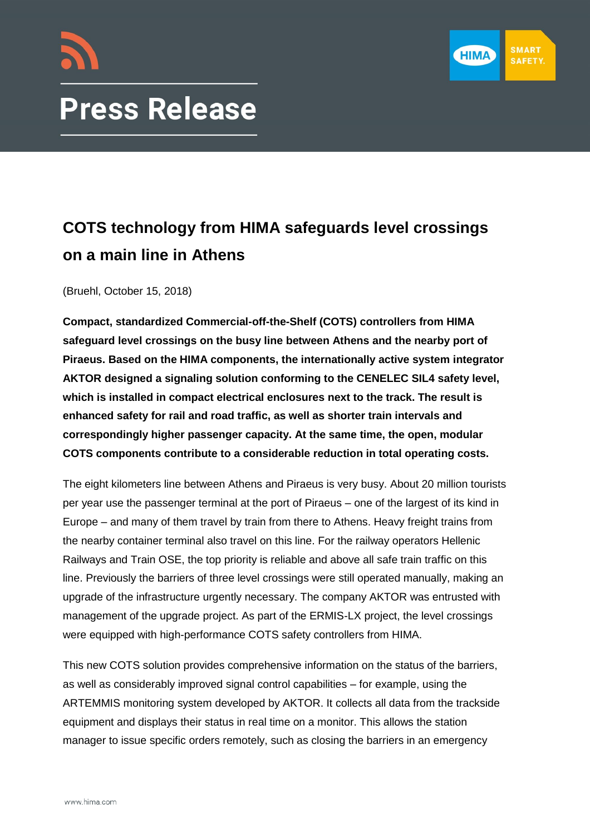



## **COTS technology from HIMA safeguards level crossings on a main line in Athens**

(Bruehl, October 15, 2018)

**Compact, standardized Commercial-off-the-Shelf (COTS) controllers from HIMA safeguard level crossings on the busy line between Athens and the nearby port of Piraeus. Based on the HIMA components, the internationally active system integrator AKTOR designed a signaling solution conforming to the CENELEC SIL4 safety level, which is installed in compact electrical enclosures next to the track. The result is enhanced safety for rail and road traffic, as well as shorter train intervals and correspondingly higher passenger capacity. At the same time, the open, modular COTS components contribute to a considerable reduction in total operating costs.**

The eight kilometers line between Athens and Piraeus is very busy. About 20 million tourists per year use the passenger terminal at the port of Piraeus – one of the largest of its kind in Europe – and many of them travel by train from there to Athens. Heavy freight trains from the nearby container terminal also travel on this line. For the railway operators Hellenic Railways and Train OSE, the top priority is reliable and above all safe train traffic on this line. Previously the barriers of three level crossings were still operated manually, making an upgrade of the infrastructure urgently necessary. The company AKTOR was entrusted with management of the upgrade project. As part of the ERMIS-LX project, the level crossings were equipped with high-performance COTS safety controllers from HIMA.

This new COTS solution provides comprehensive information on the status of the barriers, as well as considerably improved signal control capabilities – for example, using the ARTEMMIS monitoring system developed by AKTOR. It collects all data from the trackside equipment and displays their status in real time on a monitor. This allows the station manager to issue specific orders remotely, such as closing the barriers in an emergency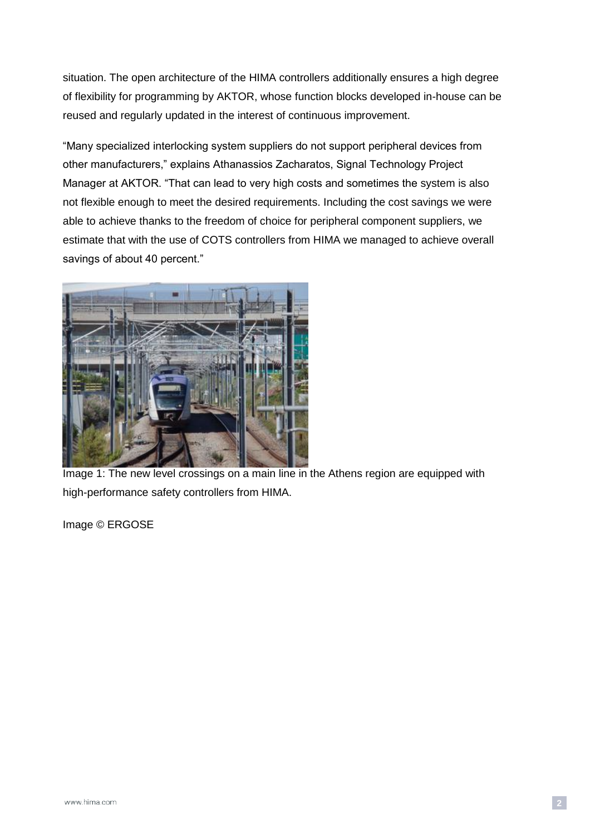situation. The open architecture of the HIMA controllers additionally ensures a high degree of flexibility for programming by AKTOR, whose function blocks developed in-house can be reused and regularly updated in the interest of continuous improvement.

"Many specialized interlocking system suppliers do not support peripheral devices from other manufacturers," explains Athanassios Zacharatos, Signal Technology Project Manager at AKTOR. "That can lead to very high costs and sometimes the system is also not flexible enough to meet the desired requirements. Including the cost savings we were able to achieve thanks to the freedom of choice for peripheral component suppliers, we estimate that with the use of COTS controllers from HIMA we managed to achieve overall savings of about 40 percent."



Image 1: The new level crossings on a main line in the Athens region are equipped with high-performance safety controllers from HIMA.

Image © ERGOSE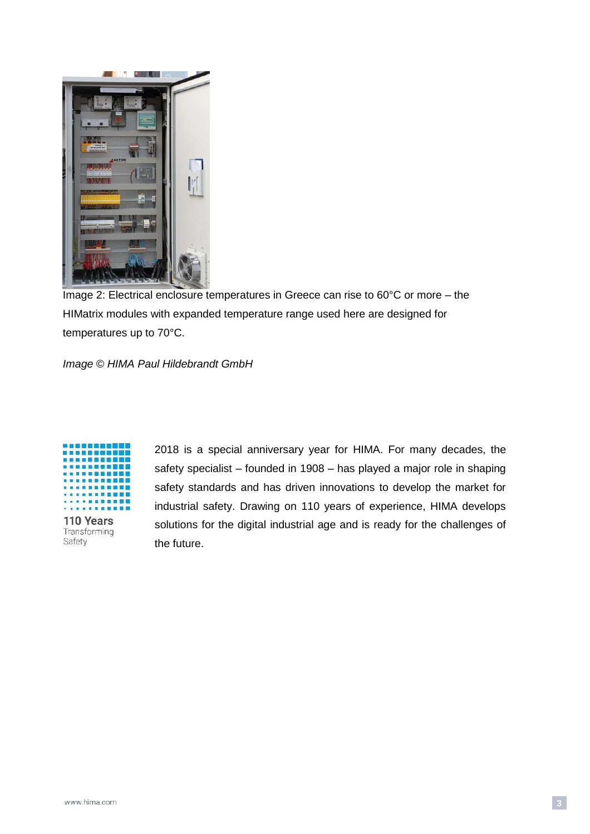

Image 2: Electrical enclosure temperatures in Greece can rise to 60°C or more – the HIMatrix modules with expanded temperature range used here are designed for temperatures up to 70°C.

*Image © HIMA Paul Hildebrandt GmbH*



Transforming Safety

2018 is a special anniversary year for HIMA. For many decades, the safety specialist – founded in 1908 – has played a major role in shaping safety standards and has driven innovations to develop the market for industrial safety. Drawing on 110 years of experience, HIMA develops solutions for the digital industrial age and is ready for the challenges of the future.